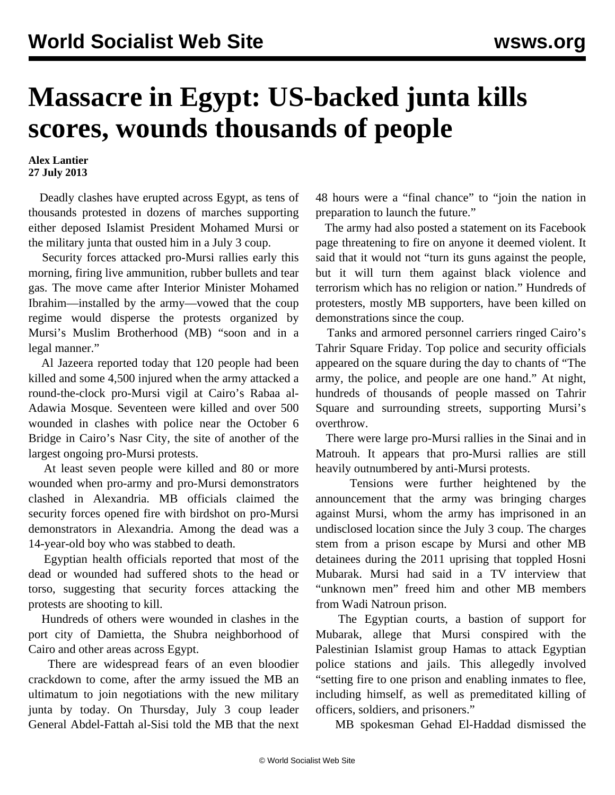## **Massacre in Egypt: US-backed junta kills scores, wounds thousands of people**

**Alex Lantier 27 July 2013**

 Deadly clashes have erupted across Egypt, as tens of thousands protested in dozens of marches supporting either deposed Islamist President Mohamed Mursi or the military junta that ousted him in a July 3 coup.

 Security forces attacked pro-Mursi rallies early this morning, firing live ammunition, rubber bullets and tear gas. The move came after Interior Minister Mohamed Ibrahim—installed by the army—vowed that the coup regime would disperse the protests organized by Mursi's Muslim Brotherhood (MB) "soon and in a legal manner."

 Al Jazeera reported today that 120 people had been killed and some 4,500 injured when the army attacked a round-the-clock pro-Mursi vigil at Cairo's Rabaa al-Adawia Mosque. Seventeen were killed and over 500 wounded in clashes with police near the October 6 Bridge in Cairo's Nasr City, the site of another of the largest ongoing pro-Mursi protests.

 At least seven people were killed and 80 or more wounded when pro-army and pro-Mursi demonstrators clashed in Alexandria. MB officials claimed the security forces opened fire with birdshot on pro-Mursi demonstrators in Alexandria. Among the dead was a 14-year-old boy who was stabbed to death.

 Egyptian health officials reported that most of the dead or wounded had suffered shots to the head or torso, suggesting that security forces attacking the protests are shooting to kill.

 Hundreds of others were wounded in clashes in the port city of Damietta, the Shubra neighborhood of Cairo and other areas across Egypt.

 There are widespread fears of an even bloodier crackdown to come, after the army issued the MB an ultimatum to join negotiations with the new military junta by today. On Thursday, July 3 coup leader General Abdel-Fattah al-Sisi told the MB that the next 48 hours were a "final chance" to "join the nation in preparation to launch the future."

 The army had also posted a statement on its Facebook page threatening to fire on anyone it deemed violent. It said that it would not "turn its guns against the people, but it will turn them against black violence and terrorism which has no religion or nation." Hundreds of protesters, mostly MB supporters, have been killed on demonstrations since the coup.

 Tanks and armored personnel carriers ringed Cairo's Tahrir Square Friday. Top police and security officials appeared on the square during the day to chants of "The army, the police, and people are one hand." At night, hundreds of thousands of people massed on Tahrir Square and surrounding streets, supporting Mursi's overthrow.

 There were large pro-Mursi rallies in the Sinai and in Matrouh. It appears that pro-Mursi rallies are still heavily outnumbered by anti-Mursi protests.

 Tensions were further heightened by the announcement that the army was bringing charges against Mursi, whom the army has imprisoned in an undisclosed location since the July 3 coup. The charges stem from a prison escape by Mursi and other MB detainees during the 2011 uprising that toppled Hosni Mubarak. Mursi had said in a TV interview that "unknown men" freed him and other MB members from Wadi Natroun prison.

 The Egyptian courts, a bastion of support for Mubarak, allege that Mursi conspired with the Palestinian Islamist group Hamas to attack Egyptian police stations and jails. This allegedly involved "setting fire to one prison and enabling inmates to flee, including himself, as well as premeditated killing of officers, soldiers, and prisoners."

MB spokesman Gehad El-Haddad dismissed the